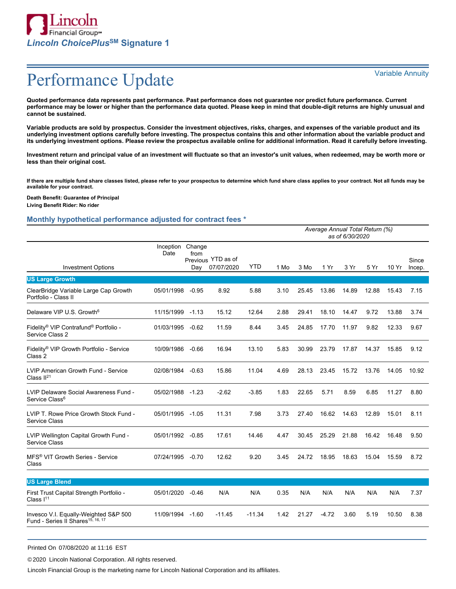

**Quoted performance data represents past performance. Past performance does not guarantee nor predict future performance. Current performance may be lower or higher than the performance data quoted. Please keep in mind that double-digit returns are highly unusual and cannot be sustained.**

**Variable products are sold by prospectus. Consider the investment objectives, risks, charges, and expenses of the variable product and its underlying investment options carefully before investing. The prospectus contains this and other information about the variable product and its underlying investment options. Please review the prospectus available online for additional information. Read it carefully before investing.**

**Investment return and principal value of an investment will fluctuate so that an investor's unit values, when redeemed, may be worth more or less than their original cost.**

**If there are multiple fund share classes listed, please refer to your prospectus to determine which fund share class applies to your contract. Not all funds may be available for your contract.**

**Death Benefit: Guarantee of Principal Living Benefit Rider: No rider**

### **Monthly hypothetical performance adjusted for contract fees \***

|                                                                                        | Average Annual Total Return (%)<br>as of 6/30/2020 |             |                                  |            |      |       |         |       |       |       |                 |
|----------------------------------------------------------------------------------------|----------------------------------------------------|-------------|----------------------------------|------------|------|-------|---------|-------|-------|-------|-----------------|
| <b>Investment Options</b>                                                              | Inception Change<br>Date                           | from<br>Day | Previous YTD as of<br>07/07/2020 | <b>YTD</b> | 1 Mo | 3 Mo  | 1 Yr    | 3 Yr  | 5 Yr  | 10 Yr | Since<br>Incep. |
| <b>US Large Growth</b>                                                                 |                                                    |             |                                  |            |      |       |         |       |       |       |                 |
| ClearBridge Variable Large Cap Growth<br>Portfolio - Class II                          | 05/01/1998                                         | $-0.95$     | 8.92                             | 5.88       | 3.10 | 25.45 | 13.86   | 14.89 | 12.88 | 15.43 | 7.15            |
| Delaware VIP U.S. Growth <sup>6</sup>                                                  | 11/15/1999                                         | $-1.13$     | 15.12                            | 12.64      | 2.88 | 29.41 | 18.10   | 14.47 | 9.72  | 13.88 | 3.74            |
| Fidelity® VIP Contrafund® Portfolio -<br>Service Class 2                               | 01/03/1995                                         | $-0.62$     | 11.59                            | 8.44       | 3.45 | 24.85 | 17.70   | 11.97 | 9.82  | 12.33 | 9.67            |
| Fidelity® VIP Growth Portfolio - Service<br>Class 2                                    | 10/09/1986                                         | $-0.66$     | 16.94                            | 13.10      | 5.83 | 30.99 | 23.79   | 17.87 | 14.37 | 15.85 | 9.12            |
| LVIP American Growth Fund - Service<br>Class $II21$                                    | 02/08/1984                                         | $-0.63$     | 15.86                            | 11.04      | 4.69 | 28.13 | 23.45   | 15.72 | 13.76 | 14.05 | 10.92           |
| LVIP Delaware Social Awareness Fund -<br>Service Class <sup>6</sup>                    | 05/02/1988                                         | $-1.23$     | $-2.62$                          | $-3.85$    | 1.83 | 22.65 | 5.71    | 8.59  | 6.85  | 11.27 | 8.80            |
| LVIP T. Rowe Price Growth Stock Fund -<br>Service Class                                | 05/01/1995                                         | $-1.05$     | 11.31                            | 7.98       | 3.73 | 27.40 | 16.62   | 14.63 | 12.89 | 15.01 | 8.11            |
| LVIP Wellington Capital Growth Fund -<br>Service Class                                 | 05/01/1992 -0.85                                   |             | 17.61                            | 14.46      | 4.47 | 30.45 | 25.29   | 21.88 | 16.42 | 16.48 | 9.50            |
| MFS <sup>®</sup> VIT Growth Series - Service<br>Class                                  | 07/24/1995                                         | $-0.70$     | 12.62                            | 9.20       | 3.45 | 24.72 | 18.95   | 18.63 | 15.04 | 15.59 | 8.72            |
| <b>US Large Blend</b>                                                                  |                                                    |             |                                  |            |      |       |         |       |       |       |                 |
| First Trust Capital Strength Portfolio -<br>Class $I11$                                | 05/01/2020                                         | $-0.46$     | N/A                              | N/A        | 0.35 | N/A   | N/A     | N/A   | N/A   | N/A   | 7.37            |
| Invesco V.I. Equally-Weighted S&P 500<br>Fund - Series II Shares <sup>15, 16, 17</sup> | 11/09/1994                                         | $-1.60$     | $-11.45$                         | $-11.34$   | 1.42 | 21.27 | $-4.72$ | 3.60  | 5.19  | 10.50 | 8.38            |

Printed On 07/08/2020 at 11:16 EST

©2020 Lincoln National Corporation. All rights reserved.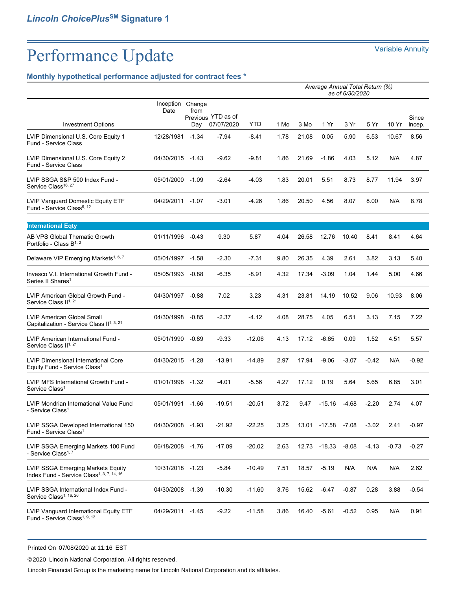## **Monthly hypothetical performance adjusted for contract fees \***

|                                                                                            | Average Annual Total Return (%)<br>as of 6/30/2020 |                       |                                  |            |      |       |              |         |         |         |                 |
|--------------------------------------------------------------------------------------------|----------------------------------------------------|-----------------------|----------------------------------|------------|------|-------|--------------|---------|---------|---------|-----------------|
| <b>Investment Options</b>                                                                  | Inception<br>Date                                  | Change<br>from<br>Dav | Previous YTD as of<br>07/07/2020 | <b>YTD</b> | 1 Mo | 3 Mo  | 1 Yr         | 3 Yr    | 5 Yr    | 10 Yr   | Since<br>Incep. |
| LVIP Dimensional U.S. Core Equity 1<br>Fund - Service Class                                | 12/28/1981                                         | $-1.34$               | $-7.94$                          | $-8.41$    | 1.78 | 21.08 | 0.05         | 5.90    | 6.53    | 10.67   | 8.56            |
| LVIP Dimensional U.S. Core Equity 2<br>Fund - Service Class                                | 04/30/2015 -1.43                                   |                       | $-9.62$                          | -9.81      | 1.86 | 21.69 | $-1.86$      | 4.03    | 5.12    | N/A     | 4.87            |
| LVIP SSGA S&P 500 Index Fund -<br>Service Class <sup>16, 27</sup>                          | 05/01/2000 -1.09                                   |                       | $-2.64$                          | $-4.03$    | 1.83 | 20.01 | 5.51         | 8.73    | 8.77    | 11.94   | 3.97            |
| LVIP Vanguard Domestic Equity ETF<br>Fund - Service Class <sup>9, 12</sup>                 | 04/29/2011                                         | -1.07                 | $-3.01$                          | $-4.26$    | 1.86 | 20.50 | 4.56         | 8.07    | 8.00    | N/A     | 8.78            |
| <b>International Eqty</b>                                                                  |                                                    |                       |                                  |            |      |       |              |         |         |         |                 |
| AB VPS Global Thematic Growth<br>Portfolio - Class B <sup>1, 2</sup>                       | 01/11/1996 -0.43                                   |                       | 9.30                             | 5.87       | 4.04 | 26.58 | 12.76        | 10.40   | 8.41    | 8.41    | 4.64            |
| Delaware VIP Emerging Markets <sup>1, 6, 7</sup>                                           | 05/01/1997 -1.58                                   |                       | $-2.30$                          | -7.31      | 9.80 | 26.35 | 4.39         | 2.61    | 3.82    | 3.13    | 5.40            |
| Invesco V.I. International Growth Fund -<br>Series II Shares <sup>1</sup>                  | 05/05/1993                                         | $-0.88$               | -6.35                            | -8.91      | 4.32 | 17.34 | $-3.09$      | 1.04    | 1.44    | 5.00    | 4.66            |
| LVIP American Global Growth Fund -<br>Service Class II <sup>1, 21</sup>                    | 04/30/1997 -0.88                                   |                       | 7.02                             | 3.23       | 4.31 | 23.81 | 14.19        | 10.52   | 9.06    | 10.93   | 8.06            |
| <b>LVIP American Global Small</b><br>Capitalization - Service Class II <sup>1, 3, 21</sup> | 04/30/1998                                         | $-0.85$               | $-2.37$                          | $-4.12$    | 4.08 | 28.75 | 4.05         | 6.51    | 3.13    | 7.15    | 7.22            |
| LVIP American International Fund -<br>Service Class II <sup>1, 21</sup>                    | 05/01/1990                                         | $-0.89$               | $-9.33$                          | $-12.06$   | 4.13 | 17.12 | $-6.65$      | 0.09    | 1.52    | 4.51    | 5.57            |
| <b>LVIP Dimensional International Core</b><br>Equity Fund - Service Class <sup>1</sup>     | 04/30/2015 -1.28                                   |                       | $-13.91$                         | $-14.89$   | 2.97 | 17.94 | $-9.06$      | $-3.07$ | $-0.42$ | N/A     | $-0.92$         |
| LVIP MFS International Growth Fund -<br>Service Class <sup>1</sup>                         | 01/01/1998 -1.32                                   |                       | $-4.01$                          | $-5.56$    | 4.27 | 17.12 | 0.19         | 5.64    | 5.65    | 6.85    | 3.01            |
| LVIP Mondrian International Value Fund<br>- Service Class <sup>1</sup>                     | 05/01/1991                                         | $-1.66$               | $-19.51$                         | $-20.51$   | 3.72 | 9.47  | $-15.16$     | $-4.68$ | $-2.20$ | 2.74    | 4.07            |
| LVIP SSGA Developed International 150<br>Fund - Service Class <sup>1</sup>                 | 04/30/2008 -1.93                                   |                       | $-21.92$                         | $-22.25$   | 3.25 |       | 13.01 -17.58 | -7.08   | $-3.02$ | 2.41    | $-0.97$         |
| LVIP SSGA Emerging Markets 100 Fund<br>- Service Class <sup>1, 7</sup>                     | 06/18/2008 -1.76                                   |                       | $-17.09$                         | $-20.02$   | 2.63 | 12.73 | $-18.33$     | $-8.08$ | $-4.13$ | $-0.73$ | $-0.27$         |
| LVIP SSGA Emerging Markets Equity<br>Index Fund - Service Class <sup>1, 3, 7, 14, 16</sup> | 10/31/2018 -1.23                                   |                       | -5.84                            | $-10.49$   | 7.51 | 18.57 | $-5.19$      | N/A     | N/A     | N/A     | 2.62            |
| LVIP SSGA International Index Fund -<br>Service Class <sup>1, 16, 26</sup>                 | 04/30/2008 -1.39                                   |                       | $-10.30$                         | $-11.60$   | 3.76 | 15.62 | -6.47        | $-0.87$ | 0.28    | 3.88    | $-0.54$         |
| LVIP Vanguard International Equity ETF<br>Fund - Service Class <sup>1, 9, 12</sup>         | 04/29/2011                                         | -1.45                 | -9.22                            | $-11.58$   | 3.86 | 16.40 | $-5.61$      | $-0.52$ | 0.95    | N/A     | 0.91            |

Printed On 07/08/2020 at 11:16 EST

©2020 Lincoln National Corporation. All rights reserved.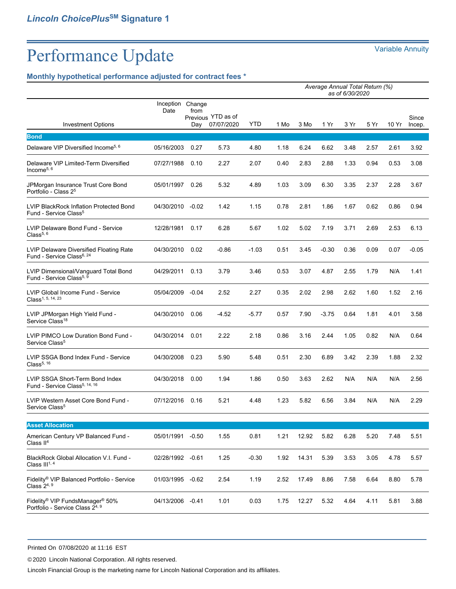## **Monthly hypothetical performance adjusted for contract fees \***

|                                                                                                        | Average Annual Total Return (%)<br>as of 6/30/2020 |                       |                                  |         |      |       |         |      |      |       |                 |
|--------------------------------------------------------------------------------------------------------|----------------------------------------------------|-----------------------|----------------------------------|---------|------|-------|---------|------|------|-------|-----------------|
| <b>Investment Options</b>                                                                              | Inception<br>Date                                  | Change<br>from<br>Day | Previous YTD as of<br>07/07/2020 | YTD     | 1 Mo | 3 Mo  | 1 Yr    | 3 Yr | 5 Yr | 10 Yr | Since<br>Incep. |
| <b>Bond</b>                                                                                            |                                                    |                       |                                  |         |      |       |         |      |      |       |                 |
| Delaware VIP Diversified Income <sup>5, 6</sup>                                                        | 05/16/2003                                         | 0.27                  | 5.73                             | 4.80    | 1.18 | 6.24  | 6.62    | 3.48 | 2.57 | 2.61  | 3.92            |
| Delaware VIP Limited-Term Diversified<br>Income $5, 6$                                                 | 07/27/1988                                         | 0.10                  | 2.27                             | 2.07    | 0.40 | 2.83  | 2.88    | 1.33 | 0.94 | 0.53  | 3.08            |
| JPMorgan Insurance Trust Core Bond<br>Portfolio - Class 2 <sup>5</sup>                                 | 05/01/1997                                         | 0.26                  | 5.32                             | 4.89    | 1.03 | 3.09  | 6.30    | 3.35 | 2.37 | 2.28  | 3.67            |
| LVIP BlackRock Inflation Protected Bond<br>Fund - Service Class <sup>5</sup>                           | 04/30/2010 -0.02                                   |                       | 1.42                             | 1.15    | 0.78 | 2.81  | 1.86    | 1.67 | 0.62 | 0.86  | 0.94            |
| LVIP Delaware Bond Fund - Service<br>Class <sup>5, 6</sup>                                             | 12/28/1981                                         | 0.17                  | 6.28                             | 5.67    | 1.02 | 5.02  | 7.19    | 3.71 | 2.69 | 2.53  | 6.13            |
| LVIP Delaware Diversified Floating Rate<br>Fund - Service Class <sup>6, 24</sup>                       | 04/30/2010                                         | 0.02                  | $-0.86$                          | $-1.03$ | 0.51 | 3.45  | $-0.30$ | 0.36 | 0.09 | 0.07  | $-0.05$         |
| LVIP Dimensional/Vanguard Total Bond<br>Fund - Service Class <sup>5, 9</sup>                           | 04/29/2011                                         | 0.13                  | 3.79                             | 3.46    | 0.53 | 3.07  | 4.87    | 2.55 | 1.79 | N/A   | 1.41            |
| LVIP Global Income Fund - Service<br>Class <sup>1, 5, 14, 23</sup>                                     | 05/04/2009                                         | $-0.04$               | 2.52                             | 2.27    | 0.35 | 2.02  | 2.98    | 2.62 | 1.60 | 1.52  | 2.16            |
| LVIP JPMorgan High Yield Fund -<br>Service Class <sup>18</sup>                                         | 04/30/2010                                         | 0.06                  | $-4.52$                          | $-5.77$ | 0.57 | 7.90  | $-3.75$ | 0.64 | 1.81 | 4.01  | 3.58            |
| LVIP PIMCO Low Duration Bond Fund -<br>Service Class <sup>5</sup>                                      | 04/30/2014                                         | 0.01                  | 2.22                             | 2.18    | 0.86 | 3.16  | 2.44    | 1.05 | 0.82 | N/A   | 0.64            |
| LVIP SSGA Bond Index Fund - Service<br>Class <sup>5, 16</sup>                                          | 04/30/2008                                         | 0.23                  | 5.90                             | 5.48    | 0.51 | 2.30  | 6.89    | 3.42 | 2.39 | 1.88  | 2.32            |
| LVIP SSGA Short-Term Bond Index<br>Fund - Service Class <sup>5, 14, 16</sup>                           | 04/30/2018                                         | 0.00                  | 1.94                             | 1.86    | 0.50 | 3.63  | 2.62    | N/A  | N/A  | N/A   | 2.56            |
| LVIP Western Asset Core Bond Fund -<br>Service Class <sup>5</sup>                                      | 07/12/2016                                         | 0.16                  | 5.21                             | 4.48    | 1.23 | 5.82  | 6.56    | 3.84 | N/A  | N/A   | 2.29            |
| <b>Asset Allocation</b>                                                                                |                                                    |                       |                                  |         |      |       |         |      |      |       |                 |
| American Century VP Balanced Fund -<br>Class II <sup>4</sup>                                           | 05/01/1991                                         | $-0.50$               | 1.55                             | 0.81    | 1.21 | 12.92 | 5.82    | 6.28 | 5.20 | 7.48  | 5.51            |
| BlackRock Global Allocation V.I. Fund -<br>Class $III1, 4$                                             | 02/28/1992                                         | $-0.61$               | 1.25                             | $-0.30$ | 1.92 | 14.31 | 5.39    | 3.53 | 3.05 | 4.78  | 5.57            |
| Fidelity® VIP Balanced Portfolio - Service<br>Class $2^{4,9}$                                          | 01/03/1995                                         | $-0.62$               | 2.54                             | 1.19    | 2.52 | 17.49 | 8.86    | 7.58 | 6.64 | 8.80  | 5.78            |
| Fidelity <sup>®</sup> VIP FundsManager <sup>®</sup> 50%<br>Portfolio - Service Class 2 <sup>4, 9</sup> | 04/13/2006                                         | $-0.41$               | 1.01                             | 0.03    | 1.75 | 12.27 | 5.32    | 4.64 | 4.11 | 5.81  | 3.88            |

Printed On 07/08/2020 at 11:16 EST

©2020 Lincoln National Corporation. All rights reserved.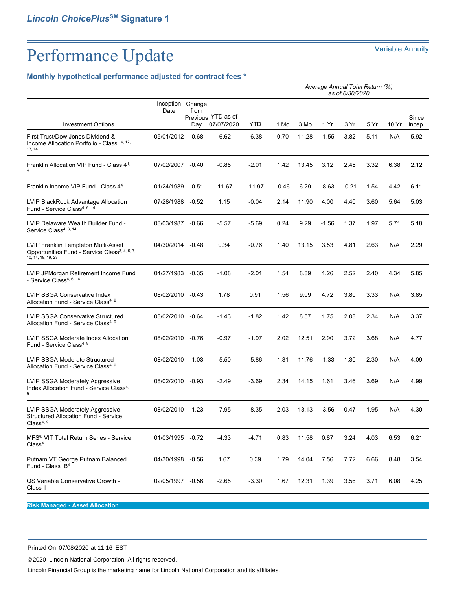### **Monthly hypothetical performance adjusted for contract fees \***

|                                                                                                                        |                   |                       | Average Annual Total Return (%)<br>as of 6/30/2020 |          |         |       |         |         |      |       |                 |
|------------------------------------------------------------------------------------------------------------------------|-------------------|-----------------------|----------------------------------------------------|----------|---------|-------|---------|---------|------|-------|-----------------|
| <b>Investment Options</b>                                                                                              | Inception<br>Date | Change<br>from<br>Day | Previous YTD as of<br>07/07/2020                   | YTD      | 1 Mo    | 3 Mo  | 1 Yr    | 3 Yr    | 5 Yr | 10 Yr | Since<br>Incep. |
| First Trust/Dow Jones Dividend &<br>Income Allocation Portfolio - Class I <sup>4, 12,</sup><br>13, 14                  | 05/01/2012 -0.68  |                       | $-6.62$                                            | $-6.38$  | 0.70    | 11.28 | $-1.55$ | 3.82    | 5.11 | N/A   | 5.92            |
| Franklin Allocation VIP Fund - Class 4 <sup>1,</sup>                                                                   | 07/02/2007 -0.40  |                       | $-0.85$                                            | $-2.01$  | 1.42    | 13.45 | 3.12    | 2.45    | 3.32 | 6.38  | 2.12            |
| Franklin Income VIP Fund - Class 44                                                                                    | 01/24/1989        | $-0.51$               | $-11.67$                                           | $-11.97$ | $-0.46$ | 6.29  | $-8.63$ | $-0.21$ | 1.54 | 4.42  | 6.11            |
| LVIP BlackRock Advantage Allocation<br>Fund - Service Class <sup>4, 6, 14</sup>                                        | 07/28/1988        | $-0.52$               | 1.15                                               | -0.04    | 2.14    | 11.90 | 4.00    | 4.40    | 3.60 | 5.64  | 5.03            |
| LVIP Delaware Wealth Builder Fund -<br>Service Class <sup>4, 6, 14</sup>                                               | 08/03/1987 -0.66  |                       | $-5.57$                                            | $-5.69$  | 0.24    | 9.29  | $-1.56$ | 1.37    | 1.97 | 5.71  | 5.18            |
| LVIP Franklin Templeton Multi-Asset<br>Opportunities Fund - Service Class <sup>3, 4, 5, 7,</sup><br>10, 14, 18, 19, 23 | 04/30/2014        | $-0.48$               | 0.34                                               | -0.76    | 1.40    | 13.15 | 3.53    | 4.81    | 2.63 | N/A   | 2.29            |
| LVIP JPMorgan Retirement Income Fund<br>- Service Class <sup>4, 6, 14</sup>                                            | 04/27/1983        | $-0.35$               | $-1.08$                                            | $-2.01$  | 1.54    | 8.89  | 1.26    | 2.52    | 2.40 | 4.34  | 5.85            |
| LVIP SSGA Conservative Index<br>Allocation Fund - Service Class <sup>4, 9</sup>                                        | 08/02/2010 -0.43  |                       | 1.78                                               | 0.91     | 1.56    | 9.09  | 4.72    | 3.80    | 3.33 | N/A   | 3.85            |
| <b>LVIP SSGA Conservative Structured</b><br>Allocation Fund - Service Class <sup>4, 9</sup>                            | 08/02/2010        | $-0.64$               | $-1.43$                                            | $-1.82$  | 1.42    | 8.57  | 1.75    | 2.08    | 2.34 | N/A   | 3.37            |
| LVIP SSGA Moderate Index Allocation<br>Fund - Service Class <sup>4, 9</sup>                                            | 08/02/2010 -0.76  |                       | $-0.97$                                            | $-1.97$  | 2.02    | 12.51 | 2.90    | 3.72    | 3.68 | N/A   | 4.77            |
| <b>LVIP SSGA Moderate Structured</b><br>Allocation Fund - Service Class <sup>4, 9</sup>                                | 08/02/2010 -1.03  |                       | $-5.50$                                            | $-5.86$  | 1.81    | 11.76 | $-1.33$ | 1.30    | 2.30 | N/A   | 4.09            |
| LVIP SSGA Moderately Aggressive<br>Index Allocation Fund - Service Class <sup>4,</sup><br>9                            | 08/02/2010 -0.93  |                       | $-2.49$                                            | -3.69    | 2.34    | 14.15 | 1.61    | 3.46    | 3.69 | N/A   | 4.99            |
| LVIP SSGA Moderately Aggressive<br>Structured Allocation Fund - Service<br>Class $4,9$                                 | 08/02/2010 -1.23  |                       | $-7.95$                                            | -8.35    | 2.03    | 13.13 | $-3.56$ | 0.47    | 1.95 | N/A   | 4.30            |
| MFS <sup>®</sup> VIT Total Return Series - Service<br>Class <sup>4</sup>                                               | 01/03/1995 -0.72  |                       | $-4.33$                                            | $-4.71$  | 0.83    | 11.58 | 0.87    | 3.24    | 4.03 | 6.53  | 6.21            |
| Putnam VT George Putnam Balanced<br>Fund - Class IB <sup>4</sup>                                                       | 04/30/1998        | $-0.56$               | 1.67                                               | 0.39     | 1.79    | 14.04 | 7.56    | 7.72    | 6.66 | 8.48  | 3.54            |
| QS Variable Conservative Growth -<br>Class II                                                                          | 02/05/1997        | $-0.56$               | $-2.65$                                            | $-3.30$  | 1.67    | 12.31 | 1.39    | 3.56    | 3.71 | 6.08  | 4.25            |

**Risk Managed - Asset Allocation**

Printed On 07/08/2020 at 11:16 EST

©2020 Lincoln National Corporation. All rights reserved.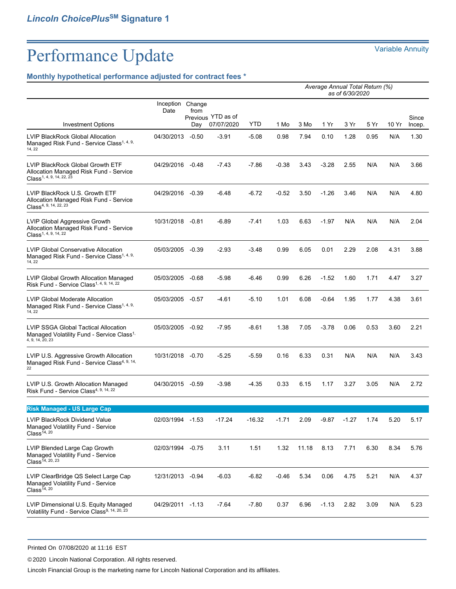## **Monthly hypothetical performance adjusted for contract fees \***

|                                                                                                                    |                   | Average Annual Total Return (%)<br>as of 6/30/2020 |                                  |          |         |       |         |         |      |       |                 |
|--------------------------------------------------------------------------------------------------------------------|-------------------|----------------------------------------------------|----------------------------------|----------|---------|-------|---------|---------|------|-------|-----------------|
| <b>Investment Options</b>                                                                                          | Inception<br>Date | Change<br>from<br>Day                              | Previous YTD as of<br>07/07/2020 | YTD      | 1 Mo    | 3 Mo  | 1 Yr    | 3 Yr    | 5 Yr | 10 Yr | Since<br>Incep. |
| <b>LVIP BlackRock Global Allocation</b><br>Managed Risk Fund - Service Class <sup>1, 4, 9,</sup><br>14, 22         | 04/30/2013        | $-0.50$                                            | $-3.91$                          | $-5.08$  | 0.98    | 7.94  | 0.10    | 1.28    | 0.95 | N/A   | 1.30            |
| LVIP BlackRock Global Growth ETF<br>Allocation Managed Risk Fund - Service<br>Class <sup>1, 4, 9, 14, 22, 23</sup> | 04/29/2016 -0.48  |                                                    | $-7.43$                          | $-7.86$  | $-0.38$ | 3.43  | $-3.28$ | 2.55    | N/A  | N/A   | 3.66            |
| LVIP BlackRock U.S. Growth ETF<br>Allocation Managed Risk Fund - Service<br>Class <sup>4, 9, 14, 22, 23</sup>      | 04/29/2016        | -0.39                                              | $-6.48$                          | $-6.72$  | $-0.52$ | 3.50  | $-1.26$ | 3.46    | N/A  | N/A   | 4.80            |
| LVIP Global Aggressive Growth<br>Allocation Managed Risk Fund - Service<br>Class <sup>1, 4, 9, 14, 22</sup>        | 10/31/2018 -0.81  |                                                    | $-6.89$                          | $-7.41$  | 1.03    | 6.63  | $-1.97$ | N/A     | N/A  | N/A   | 2.04            |
| <b>LVIP Global Conservative Allocation</b><br>Managed Risk Fund - Service Class <sup>1, 4, 9,</sup><br>14, 22      | 05/03/2005 -0.39  |                                                    | $-2.93$                          | $-3.48$  | 0.99    | 6.05  | 0.01    | 2.29    | 2.08 | 4.31  | 3.88            |
| LVIP Global Growth Allocation Managed<br>Risk Fund - Service Class <sup>1, 4, 9, 14, 22</sup>                      | 05/03/2005        | $-0.68$                                            | $-5.98$                          | -6.46    | 0.99    | 6.26  | $-1.52$ | 1.60    | 1.71 | 4.47  | 3.27            |
| <b>LVIP Global Moderate Allocation</b><br>Managed Risk Fund - Service Class <sup>1, 4, 9,</sup><br>14, 22          | 05/03/2005        | -0.57                                              | $-4.61$                          | $-5.10$  | 1.01    | 6.08  | $-0.64$ | 1.95    | 1.77 | 4.38  | 3.61            |
| LVIP SSGA Global Tactical Allocation<br>Managed Volatility Fund - Service Class <sup>1,</sup><br>4, 9, 14, 20, 23  | 05/03/2005 -0.92  |                                                    | $-7.95$                          | $-8.61$  | 1.38    | 7.05  | $-3.78$ | 0.06    | 0.53 | 3.60  | 2.21            |
| LVIP U.S. Aggressive Growth Allocation<br>Managed Risk Fund - Service Class <sup>4, 9, 14,</sup><br>22             | 10/31/2018 -0.70  |                                                    | $-5.25$                          | -5.59    | 0.16    | 6.33  | 0.31    | N/A     | N/A  | N/A   | 3.43            |
| LVIP U.S. Growth Allocation Managed<br>Risk Fund - Service Class <sup>4, 9, 14, 22</sup>                           | 04/30/2015 -0.59  |                                                    | $-3.98$                          | $-4.35$  | 0.33    | 6.15  | 1.17    | 3.27    | 3.05 | N/A   | 2.72            |
| <b>Risk Managed - US Large Cap</b>                                                                                 |                   |                                                    |                                  |          |         |       |         |         |      |       |                 |
| LVIP BlackRock Dividend Value<br>Managed Volatility Fund - Service<br>Class <sup>14, 20</sup>                      | 02/03/1994 -1.53  |                                                    | $-17.24$                         | $-16.32$ | $-1.71$ | 2.09  | $-9.87$ | $-1.27$ | 1.74 | 5.20  | 5.17            |
| LVIP Blended Large Cap Growth<br>Managed Volatility Fund - Service<br>Class <sup>14, 20, 23</sup>                  | 02/03/1994        | $-0.75$                                            | 3.11                             | 1.51     | 1.32    | 11.18 | 8.13    | 7.71    | 6.30 | 8.34  | 5.76            |
| LVIP ClearBridge QS Select Large Cap<br>Managed Volatility Fund - Service<br>Class <sup>14, 20</sup>               | 12/31/2013 -0.94  |                                                    | $-6.03$                          | -6.82    | $-0.46$ | 5.34  | 0.06    | 4.75    | 5.21 | N/A   | 4.37            |
| LVIP Dimensional U.S. Equity Managed<br>Volatility Fund - Service Class <sup>9, 14, 20, 23</sup>                   | 04/29/2011 -1.13  |                                                    | $-7.64$                          | $-7.80$  | 0.37    | 6.96  | $-1.13$ | 2.82    | 3.09 | N/A   | 5.23            |

Printed On 07/08/2020 at 11:16 EST

©2020 Lincoln National Corporation. All rights reserved.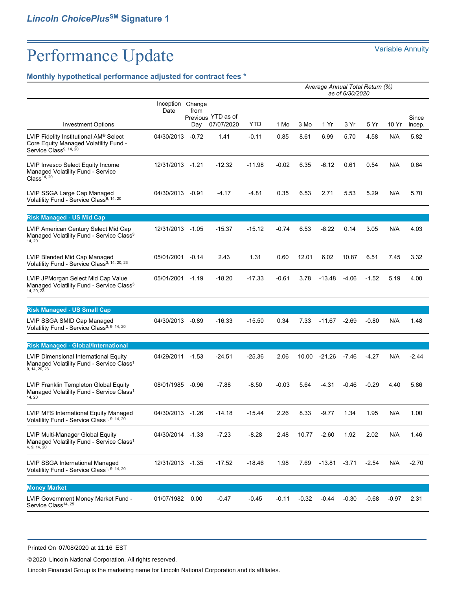## **Monthly hypothetical performance adjusted for contract fees \***

|                                                                                                                       | Average Annual Total Return (%)<br>as of 6/30/2020 |                |                                  |          |         |         |          |         |         |         |                 |
|-----------------------------------------------------------------------------------------------------------------------|----------------------------------------------------|----------------|----------------------------------|----------|---------|---------|----------|---------|---------|---------|-----------------|
|                                                                                                                       | Inception<br>Date                                  | Change<br>from |                                  |          |         |         |          |         |         |         |                 |
| <b>Investment Options</b>                                                                                             |                                                    | Day            | Previous YTD as of<br>07/07/2020 | YTD      | 1 Mo    | 3 Mo    | 1 Yr     | 3 Yr    | 5 Yr    | 10 Yr   | Since<br>Incep. |
| LVIP Fidelity Institutional AM® Select<br>Core Equity Managed Volatility Fund -<br>Service Class <sup>9, 14, 20</sup> | 04/30/2013                                         | $-0.72$        | 1.41                             | $-0.11$  | 0.85    | 8.61    | 6.99     | 5.70    | 4.58    | N/A     | 5.82            |
| LVIP Invesco Select Equity Income<br>Managed Volatility Fund - Service<br>Class <sup>14, 20</sup>                     | 12/31/2013 -1.21                                   |                | $-12.32$                         | $-11.98$ | $-0.02$ | 6.35    | $-6.12$  | 0.61    | 0.54    | N/A     | 0.64            |
| LVIP SSGA Large Cap Managed<br>Volatility Fund - Service Class <sup>9, 14, 20</sup>                                   | 04/30/2013 -0.91                                   |                | $-4.17$                          | $-4.81$  | 0.35    | 6.53    | 2.71     | 5.53    | 5.29    | N/A     | 5.70            |
| <b>Risk Managed - US Mid Cap</b>                                                                                      |                                                    |                |                                  |          |         |         |          |         |         |         |                 |
| LVIP American Century Select Mid Cap<br>Managed Volatility Fund - Service Class <sup>3,</sup><br>14, 20               | 12/31/2013 -1.05                                   |                | $-15.37$                         | $-15.12$ | $-0.74$ | 6.53    | $-8.22$  | 0.14    | 3.05    | N/A     | 4.03            |
| LVIP Blended Mid Cap Managed<br>Volatility Fund - Service Class <sup>3, 14, 20, 23</sup>                              | 05/01/2001                                         | $-0.14$        | 2.43                             | 1.31     | 0.60    | 12.01   | 6.02     | 10.87   | 6.51    | 7.45    | 3.32            |
| LVIP JPMorgan Select Mid Cap Value<br>Managed Volatility Fund - Service Class <sup>3,</sup><br>14, 20, 23             | 05/01/2001 -1.19                                   |                | $-18.20$                         | $-17.33$ | $-0.61$ | 3.78    | -13.48   | $-4.06$ | $-1.52$ | 5.19    | 4.00            |
| <b>Risk Managed - US Small Cap</b>                                                                                    |                                                    |                |                                  |          |         |         |          |         |         |         |                 |
| LVIP SSGA SMID Cap Managed<br>Volatility Fund - Service Class <sup>3, 9, 14, 20</sup>                                 | 04/30/2013                                         | -0.89          | $-16.33$                         | $-15.50$ | 0.34    | 7.33    | -11.67   | $-2.69$ | $-0.80$ | N/A     | 1.48            |
| Risk Managed - Global/International                                                                                   |                                                    |                |                                  |          |         |         |          |         |         |         |                 |
| LVIP Dimensional International Equity<br>Managed Volatility Fund - Service Class <sup>1,</sup><br>9, 14, 20, 23       | 04/29/2011 -1.53                                   |                | $-24.51$                         | $-25.36$ | 2.06    | 10.00   | $-21.26$ | $-7.46$ | $-4.27$ | N/A     | $-2.44$         |
| LVIP Franklin Templeton Global Equity<br>Managed Volatility Fund - Service Class <sup>1,</sup><br>14, 20              | 08/01/1985                                         | $-0.96$        | $-7.88$                          | $-8.50$  | $-0.03$ | 5.64    | $-4.31$  | $-0.46$ | $-0.29$ | 4.40    | 5.86            |
| LVIP MFS International Equity Managed<br>Volatility Fund - Service Class <sup>1, 9, 14, 20</sup>                      | 04/30/2013 -1.26                                   |                | $-14.18$                         | $-15.44$ | 2.26    | 8.33    | $-9.77$  | 1.34    | 1.95    | N/A     | 1.00            |
| LVIP Multi-Manager Global Equity<br>Managed Volatility Fund - Service Class <sup>1,</sup><br>4, 9, 14, 20             | 04/30/2014 -1.33                                   |                | $-7.23$                          | $-8.28$  | 2.48    | 10.77   | $-2.60$  | 1.92    | 2.02    | N/A     | 1.46            |
| LVIP SSGA International Managed<br>Volatility Fund - Service Class <sup>1, 9, 14, 20</sup>                            | 12/31/2013 -1.35                                   |                | $-17.52$                         | $-18.46$ | 1.98    | 7.69    | $-13.81$ | $-3.71$ | $-2.54$ | N/A     | $-2.70$         |
| <b>Money Market</b>                                                                                                   |                                                    |                |                                  |          |         |         |          |         |         |         |                 |
| LVIP Government Money Market Fund -<br>Service Class <sup>14, 25</sup>                                                | 01/07/1982                                         | 0.00           | $-0.47$                          | $-0.45$  | $-0.11$ | $-0.32$ | -0.44    | $-0.30$ | $-0.68$ | $-0.97$ | 2.31            |

Printed On 07/08/2020 at 11:16 EST

©2020 Lincoln National Corporation. All rights reserved.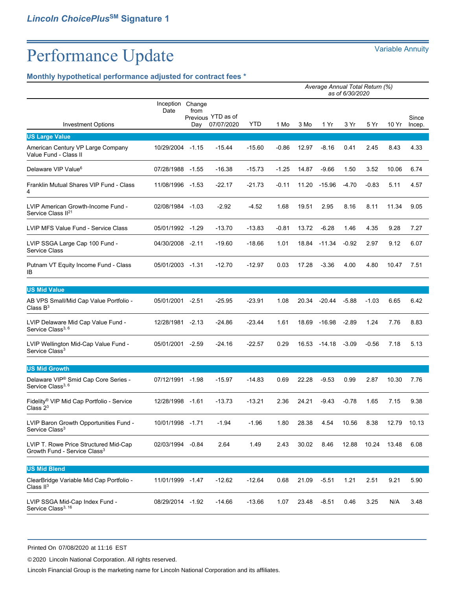## **Monthly hypothetical performance adjusted for contract fees \***

|                                                                                   | Average Annual Total Return (%)<br>as of 6/30/2020 |                       |                                  |          |         |       |              |         |         |       |                 |
|-----------------------------------------------------------------------------------|----------------------------------------------------|-----------------------|----------------------------------|----------|---------|-------|--------------|---------|---------|-------|-----------------|
| <b>Investment Options</b>                                                         | Inception<br>Date                                  | Change<br>from<br>Day | Previous YTD as of<br>07/07/2020 | YTD      | 1 Mo    | 3 Mo  | 1 Yr         | 3 Yr    | 5 Yr    | 10 Yr | Since<br>Incep. |
| <b>US Large Value</b>                                                             |                                                    |                       |                                  |          |         |       |              |         |         |       |                 |
| American Century VP Large Company<br>Value Fund - Class II                        | 10/29/2004                                         | $-1.15$               | $-15.44$                         | $-15.60$ | $-0.86$ | 12.97 | $-8.16$      | 0.41    | 2.45    | 8.43  | 4.33            |
| Delaware VIP Value <sup>6</sup>                                                   | 07/28/1988 -1.55                                   |                       | $-16.38$                         | $-15.73$ | $-1.25$ | 14.87 | $-9.66$      | 1.50    | 3.52    | 10.06 | 6.74            |
| Franklin Mutual Shares VIP Fund - Class<br>4                                      | 11/08/1996 -1.53                                   |                       | $-22.17$                         | $-21.73$ | $-0.11$ | 11.20 | $-15.96$     | $-4.70$ | $-0.83$ | 5.11  | 4.57            |
| LVIP American Growth-Income Fund -<br>Service Class II <sup>21</sup>              | 02/08/1984 -1.03                                   |                       | $-2.92$                          | $-4.52$  | 1.68    | 19.51 | 2.95         | 8.16    | 8.11    | 11.34 | 9.05            |
| LVIP MFS Value Fund - Service Class                                               | 05/01/1992 -1.29                                   |                       | $-13.70$                         | $-13.83$ | $-0.81$ | 13.72 | $-6.28$      | 1.46    | 4.35    | 9.28  | 7.27            |
| LVIP SSGA Large Cap 100 Fund -<br>Service Class                                   | 04/30/2008                                         | $-2.11$               | $-19.60$                         | $-18.66$ | 1.01    | 18.84 | $-11.34$     | $-0.92$ | 2.97    | 9.12  | 6.07            |
| Putnam VT Equity Income Fund - Class<br>IB                                        | 05/01/2003 -1.31                                   |                       | $-12.70$                         | $-12.97$ | 0.03    | 17.28 | $-3.36$      | 4.00    | 4.80    | 10.47 | 7.51            |
| <b>US Mid Value</b>                                                               |                                                    |                       |                                  |          |         |       |              |         |         |       |                 |
| AB VPS Small/Mid Cap Value Portfolio -<br>Class $B^3$                             | 05/01/2001                                         | $-2.51$               | $-25.95$                         | $-23.91$ | 1.08    | 20.34 | $-20.44$     | $-5.88$ | $-1.03$ | 6.65  | 6.42            |
| LVIP Delaware Mid Cap Value Fund -<br>Service Class <sup>3, 6</sup>               | 12/28/1981 -2.13                                   |                       | $-24.86$                         | $-23.44$ | 1.61    |       | 18.69 -16.98 | $-2.89$ | 1.24    | 7.76  | 8.83            |
| LVIP Wellington Mid-Cap Value Fund -<br>Service Class <sup>3</sup>                | 05/01/2001                                         | $-2.59$               | $-24.16$                         | $-22.57$ | 0.29    | 16.53 | $-14.18$     | $-3.09$ | $-0.56$ | 7.18  | 5.13            |
| <b>US Mid Growth</b>                                                              |                                                    |                       |                                  |          |         |       |              |         |         |       |                 |
| Delaware VIP® Smid Cap Core Series -<br>Service Class <sup>3, 6</sup>             | 07/12/1991                                         | $-1.98$               | $-15.97$                         | $-14.83$ | 0.69    | 22.28 | $-9.53$      | 0.99    | 2.87    | 10.30 | 7.76            |
| Fidelity <sup>®</sup> VIP Mid Cap Portfolio - Service<br>Class $23$               | 12/28/1998                                         | $-1.61$               | $-13.73$                         | $-13.21$ | 2.36    | 24.21 | $-9.43$      | $-0.78$ | 1.65    | 7.15  | 9.38            |
| LVIP Baron Growth Opportunities Fund -<br>Service Class <sup>3</sup>              | 10/01/1998 -1.71                                   |                       | $-1.94$                          | $-1.96$  | 1.80    | 28.38 | 4.54         | 10.56   | 8.38    | 12.79 | 10.13           |
| LVIP T. Rowe Price Structured Mid-Cap<br>Growth Fund - Service Class <sup>3</sup> | 02/03/1994                                         | $-0.84$               | 2.64                             | 1.49     | 2.43    | 30.02 | 8.46         | 12.88   | 10.24   | 13.48 | 6.08            |
| <b>US Mid Blend</b>                                                               |                                                    |                       |                                  |          |         |       |              |         |         |       |                 |
| ClearBridge Variable Mid Cap Portfolio -<br>Class $II3$                           | 11/01/1999                                         | -1.47                 | $-12.62$                         | $-12.64$ | 0.68    | 21.09 | $-5.51$      | 1.21    | 2.51    | 9.21  | 5.90            |
| LVIP SSGA Mid-Cap Index Fund -<br>Service Class <sup>3, 16</sup>                  | 08/29/2014 -1.92                                   |                       | $-14.66$                         | $-13.66$ | 1.07    | 23.48 | $-8.51$      | 0.46    | 3.25    | N/A   | 3.48            |

Printed On 07/08/2020 at 11:16 EST

©2020 Lincoln National Corporation. All rights reserved.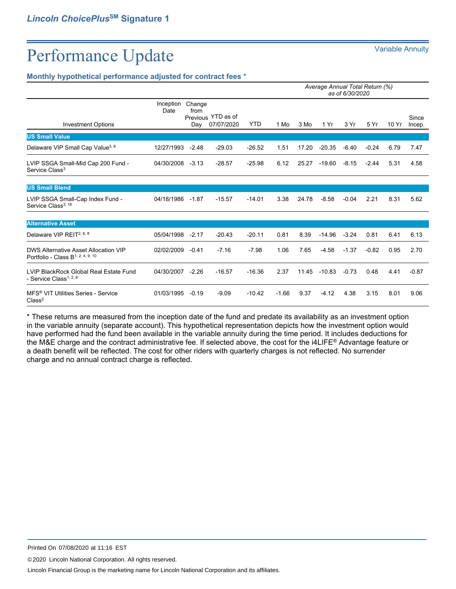### **Monthly hypothetical performance adjusted for contract fees \***

|                                                                                       |                   |                       |                                  |            | Average Annual Total Return (%)<br>as of 6/30/2020 |       |          |         |         |       |                 |
|---------------------------------------------------------------------------------------|-------------------|-----------------------|----------------------------------|------------|----------------------------------------------------|-------|----------|---------|---------|-------|-----------------|
| <b>Investment Options</b>                                                             | Inception<br>Date | Change<br>from<br>Day | Previous YTD as of<br>07/07/2020 | <b>YTD</b> | 1 Mo                                               | 3 Mo  | 1 Yr     | 3 Yr    | 5 Yr    | 10 Yr | Since<br>Incep. |
| <b>US Small Value</b>                                                                 |                   |                       |                                  |            |                                                    |       |          |         |         |       |                 |
| Delaware VIP Small Cap Value <sup>3, 6</sup>                                          | 12/27/1993        | $-2.48$               | $-29.03$                         | $-26.52$   | 1.51                                               | 17.20 | $-20.35$ | $-6.40$ | $-0.24$ | 6.79  | 7.47            |
| LVIP SSGA Small-Mid Cap 200 Fund -<br>Service Class <sup>3</sup>                      | 04/30/2008        | $-3.13$               | $-28.57$                         | $-25.98$   | 6.12                                               | 25.27 | $-19.60$ | $-8.15$ | $-2.44$ | 5.31  | 4.58            |
| <b>US Small Blend</b>                                                                 |                   |                       |                                  |            |                                                    |       |          |         |         |       |                 |
| LVIP SSGA Small-Cap Index Fund -<br>Service Class <sup>3, 16</sup>                    | 04/18/1986        | $-1.87$               | $-15.57$                         | $-14.01$   | 3.38                                               | 24.78 | $-8.58$  | $-0.04$ | 2.21    | 8.31  | 5.62            |
| <b>Alternative Asset</b>                                                              |                   |                       |                                  |            |                                                    |       |          |         |         |       |                 |
| Delaware VIP REIT <sup>2, 6, 8</sup>                                                  | 05/04/1998        | $-2.17$               | $-20.43$                         | $-20.11$   | 0.81                                               | 8.39  | $-14.96$ | $-3.24$ | 0.81    | 6.41  | 6.13            |
| DWS Alternative Asset Allocation VIP<br>Portfolio - Class B <sup>1, 2, 4, 9, 10</sup> | 02/02/2009        | $-0.41$               | $-7.16$                          | $-7.98$    | 1.06                                               | 7.65  | $-4.58$  | $-1.37$ | $-0.82$ | 0.95  | 2.70            |
| LVIP BlackRock Global Real Estate Fund<br>- Service Class <sup>1, 2, 8</sup>          | 04/30/2007        | $-2.26$               | $-16.57$                         | $-16.36$   | 2.37                                               | 11.45 | $-10.83$ | $-0.73$ | 0.48    | 4.41  | $-0.87$         |
| MFS <sup>®</sup> VIT Utilities Series - Service<br>Class <sup>2</sup>                 | 01/03/1995        | $-0.19$               | $-9.09$                          | $-10.42$   | $-1.66$                                            | 9.37  | $-4.12$  | 4.38    | 3.15    | 8.01  | 9.06            |

\* These returns are measured from the inception date of the fund and predate its availability as an investment option in the variable annuity (separate account). This hypothetical representation depicts how the investment option would have performed had the fund been available in the variable annuity during the time period. It includes deductions for the M&E charge and the contract administrative fee. If selected above, the cost for the i4LIFE® Advantage feature or a death benefit will be reflected. The cost for other riders with quarterly charges is not reflected. No surrender charge and no annual contract charge is reflected.

©2020 Lincoln National Corporation. All rights reserved.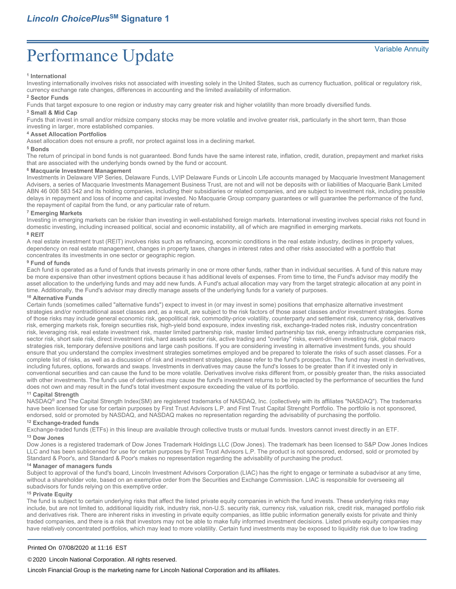#### **1 International**

Investing internationally involves risks not associated with investing solely in the United States, such as currency fluctuation, political or regulatory risk, currency exchange rate changes, differences in accounting and the limited availability of information.

#### **<sup>2</sup> Sector Funds**

Funds that target exposure to one region or industry may carry greater risk and higher volatility than more broadly diversified funds.

### **<sup>3</sup> Small & Mid Cap**

Funds that invest in small and/or midsize company stocks may be more volatile and involve greater risk, particularly in the short term, than those investing in larger, more established companies.

#### **<sup>4</sup> Asset Allocation Portfolios**

Asset allocation does not ensure a profit, nor protect against loss in a declining market.

#### **<sup>5</sup> Bonds**

The return of principal in bond funds is not guaranteed. Bond funds have the same interest rate, inflation, credit, duration, prepayment and market risks that are associated with the underlying bonds owned by the fund or account.

#### **<sup>6</sup> Macquarie Investment Management**

Investments in Delaware VIP Series, Delaware Funds, LVIP Delaware Funds or Lincoln Life accounts managed by Macquarie Investment Management Advisers, a series of Macquarie Investments Management Business Trust, are not and will not be deposits with or liabilities of Macquarie Bank Limited ABN 46 008 583 542 and its holding companies, including their subsidiaries or related companies, and are subject to investment risk, including possible delays in repayment and loss of income and capital invested. No Macquarie Group company guarantees or will guarantee the performance of the fund, the repayment of capital from the fund, or any particular rate of return.

#### **<sup>7</sup> Emerging Markets**

Investing in emerging markets can be riskier than investing in well-established foreign markets. International investing involves special risks not found in domestic investing, including increased political, social and economic instability, all of which are magnified in emerging markets. **<sup>8</sup> REIT**

#### A real estate investment trust (REIT) involves risks such as refinancing, economic conditions in the real estate industry, declines in property values, dependency on real estate management, changes in property taxes, changes in interest rates and other risks associated with a portfolio that concentrates its investments in one sector or geographic region.

#### **<sup>9</sup> Fund of funds**

Each fund is operated as a fund of funds that invests primarily in one or more other funds, rather than in individual securities. A fund of this nature may be more expensive than other investment options because it has additional levels of expenses. From time to time, the Fund's advisor may modify the asset allocation to the underlying funds and may add new funds. A Fund's actual allocation may vary from the target strategic allocation at any point in time. Additionally, the Fund's advisor may directly manage assets of the underlying funds for a variety of purposes.

### **<sup>10</sup> Alternative Funds**

Certain funds (sometimes called "alternative funds") expect to invest in (or may invest in some) positions that emphasize alternative investment strategies and/or nontraditional asset classes and, as a result, are subject to the risk factors of those asset classes and/or investment strategies. Some of those risks may include general economic risk, geopolitical risk, commodity-price volatility, counterparty and settlement risk, currency risk, derivatives risk, emerging markets risk, foreign securities risk, high-yield bond exposure, index investing risk, exchange-traded notes risk, industry concentration risk, leveraging risk, real estate investment risk, master limited partnership risk, master limited partnership tax risk, energy infrastructure companies risk, sector risk, short sale risk, direct investment risk, hard assets sector risk, active trading and "overlay" risks, event-driven investing risk, global macro strategies risk, temporary defensive positions and large cash positions. If you are considering investing in alternative investment funds, you should ensure that you understand the complex investment strategies sometimes employed and be prepared to tolerate the risks of such asset classes. For a complete list of risks, as well as a discussion of risk and investment strategies, please refer to the fund's prospectus. The fund may invest in derivatives, including futures, options, forwards and swaps. Investments in derivatives may cause the fund's losses to be greater than if it invested only in conventional securities and can cause the fund to be more volatile. Derivatives involve risks different from, or possibly greater than, the risks associated with other investments. The fund's use of derivatives may cause the fund's investment returns to be impacted by the performance of securities the fund does not own and may result in the fund's total investment exposure exceeding the value of its portfolio.

#### **<sup>11</sup> Capital Strength**

NASDAQ® and The Capital Strength Index(SM) are registered trademarks of NASDAQ, Inc. (collectively with its affiliates "NASDAQ"). The trademarks have been licensed for use for certain purposes by First Trust Advisors L.P. and First Trust Capital Strenght Portfolio. The portfolio is not sponsored, endorsed, sold or promoted by NASDAQ, and NASDAQ makes no representation regarding the advisability of purchasing the portfolio.

### **<sup>12</sup> Exchange-traded funds**

Exchange-traded funds (ETFs) in this lineup are available through collective trusts or mutual funds. Investors cannot invest directly in an ETF.

### **<sup>13</sup> Dow Jones**

Dow Jones is a registered trademark of Dow Jones Trademark Holdings LLC (Dow Jones). The trademark has been licensed to S&P Dow Jones Indices LLC and has been sublicensed for use for certain purposes by First Trust Advisors L.P. The product is not sponsored, endorsed, sold or promoted by Standard & Poor's, and Standard & Poor's makes no representation regarding the advisability of purchasing the product.

### **<sup>14</sup> Manager of managers funds**

Subject to approval of the fund's board, Lincoln Investment Advisors Corporation (LIAC) has the right to engage or terminate a subadvisor at any time, without a shareholder vote, based on an exemptive order from the Securities and Exchange Commission. LIAC is responsible for overseeing all subadvisors for funds relying on this exemptive order.

### **<sup>15</sup> Private Equity**

The fund is subject to certain underlying risks that affect the listed private equity companies in which the fund invests. These underlying risks may include, but are not limited to, additional liquidity risk, industry risk, non-U.S. security risk, currency risk, valuation risk, credit risk, managed portfolio risk and derivatives risk. There are inherent risks in investing in private equity companies, as little public information generally exists for private and thinly traded companies, and there is a risk that investors may not be able to make fully informed investment decisions. Listed private equity companies may have relatively concentrated portfolios, which may lead to more volatility. Certain fund investments may be exposed to liquidity risk due to low trading

#### Printed On 07/08/2020 at 11:16 EST

©2020 Lincoln National Corporation. All rights reserved.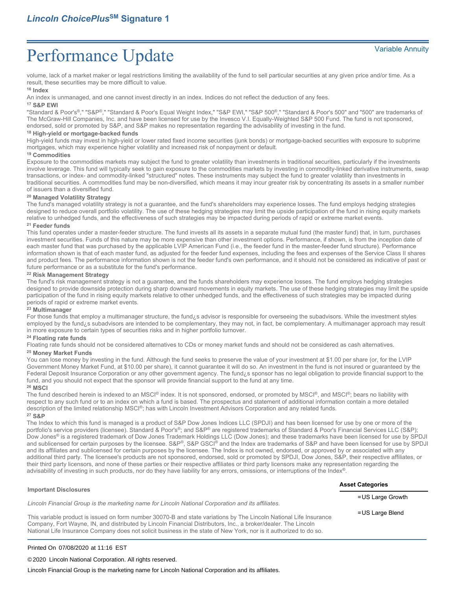volume, lack of a market maker or legal restrictions limiting the availability of the fund to sell particular securities at any given price and/or time. As a result, these securities may be more difficult to value.

### **<sup>16</sup> Index**

An index is unmanaged, and one cannot invest directly in an index. Indices do not reflect the deduction of any fees.

### **<sup>17</sup> S&P EWI**

"Standard & Poor's®," "S&P®," "Standard & Poor's Equal Weight Index," "S&P EWI," "S&P 500®," "Standard & Poor's 500" and "500" are trademarks of The McGraw-Hill Companies, Inc. and have been licensed for use by the Invesco V.I. Equally-Weighted S&P 500 Fund. The fund is not sponsored, endorsed, sold or promoted by S&P, and S&P makes no representation regarding the advisability of investing in the fund.

#### **<sup>18</sup> High-yield or mortgage-backed funds**

High-yield funds may invest in high-yield or lower rated fixed income securities (junk bonds) or mortgage-backed securities with exposure to subprime mortgages, which may experience higher volatility and increased risk of nonpayment or default.

#### **<sup>19</sup> Commodities**

Exposure to the commodities markets may subject the fund to greater volatility than investments in traditional securities, particularly if the investments involve leverage. This fund will typically seek to gain exposure to the commodities markets by investing in commodity-linked derivative instruments, swap transactions, or index- and commodity-linked "structured" notes. These instruments may subject the fund to greater volatility than investments in traditional securities. A commodities fund may be non-diversified, which means it may incur greater risk by concentrating its assets in a smaller number of issuers than a diversified fund.

### **<sup>20</sup> Managed Volatility Strategy**

The fund's managed volatility strategy is not a guarantee, and the fund's shareholders may experience losses. The fund employs hedging strategies designed to reduce overall portfolio volatility. The use of these hedging strategies may limit the upside participation of the fund in rising equity markets relative to unhedged funds, and the effectiveness of such strategies may be impacted during periods of rapid or extreme market events.

#### **<sup>21</sup> Feeder funds**

This fund operates under a master-feeder structure. The fund invests all its assets in a separate mutual fund (the master fund) that, in turn, purchases investment securities. Funds of this nature may be more expensive than other investment options. Performance, if shown, is from the inception date of each master fund that was purchased by the applicable LVIP American Fund (i.e., the feeder fund in the master-feeder fund structure). Performance information shown is that of each master fund, as adjusted for the feeder fund expenses, including the fees and expenses of the Service Class II shares and product fees. The performance information shown is not the feeder fund's own performance, and it should not be considered as indicative of past or future performance or as a substitute for the fund's performance.

#### **<sup>22</sup> Risk Management Strategy**

The fund's risk management strategy is not a guarantee, and the funds shareholders may experience losses. The fund employs hedging strategies designed to provide downside protection during sharp downward movements in equity markets. The use of these hedging strategies may limit the upside participation of the fund in rising equity markets relative to other unhedged funds, and the effectiveness of such strategies may be impacted during periods of rapid or extreme market events.

#### **<sup>23</sup> Multimanager**

For those funds that employ a multimanager structure, the fund¿s advisor is responsible for overseeing the subadvisors. While the investment styles employed by the fund¿s subadvisors are intended to be complementary, they may not, in fact, be complementary. A multimanager approach may result in more exposure to certain types of securities risks and in higher portfolio turnover.

#### **<sup>24</sup> Floating rate funds**

Floating rate funds should not be considered alternatives to CDs or money market funds and should not be considered as cash alternatives.

#### **<sup>25</sup> Money Market Funds**

You can lose money by investing in the fund. Although the fund seeks to preserve the value of your investment at \$1.00 per share (or, for the LVIP Government Money Market Fund, at \$10.00 per share), it cannot guarantee it will do so. An investment in the fund is not insured or guaranteed by the Federal Deposit Insurance Corporation or any other government agency. The fund¿s sponsor has no legal obligation to provide financial support to the fund, and you should not expect that the sponsor will provide financial support to the fund at any time.

#### **<sup>26</sup> MSCI**

The fund described herein is indexed to an MSCI® index. It is not sponsored, endorsed, or promoted by MSCI®, and MSCI®; bears no liability with respect to any such fund or to an index on which a fund is based. The prospectus and statement of additional information contain a more detailed description of the limited relationship MSCI®; has with Lincoln Investment Advisors Corporation and any related funds. **<sup>27</sup> S&P**

The Index to which this fund is managed is a product of S&P Dow Jones Indices LLC (SPDJI) and has been licensed for use by one or more of the portfolio's service providers (licensee). Standard & Poor's®; and S&P® are registered trademarks of Standard & Poor's Financial Services LLC (S&P); Dow Jones® is a registered trademark of Dow Jones Trademark Holdings LLC (Dow Jones); and these trademarks have been licensed for use by SPDJI and sublicensed for certain purposes by the licensee. S&P®, S&P GSCI® and the Index are trademarks of S&P and have been licensed for use by SPDJI and its affiliates and sublicensed for certain purposes by the licensee. The Index is not owned, endorsed, or approved by or associated with any additional third party. The licensee's products are not sponsored, endorsed, sold or promoted by SPDJI, Dow Jones, S&P, their respective affiliates, or their third party licensors, and none of these parties or their respective affiliates or third party licensors make any representation regarding the advisability of investing in such products, nor do they have liability for any errors, omissions, or interruptions of the Index®.

| <b>Important Disclosures</b>                                                                                                                                                                                                                                                                                                                               | <b>Asset Categories</b> |
|------------------------------------------------------------------------------------------------------------------------------------------------------------------------------------------------------------------------------------------------------------------------------------------------------------------------------------------------------------|-------------------------|
| Lincoln Financial Group is the marketing name for Lincoln National Corporation and its affiliates.                                                                                                                                                                                                                                                         | $=$ US Large Growth     |
| This variable product is issued on form number 30070-B and state variations by The Lincoln National Life Insurance<br>Company, Fort Wayne, IN, and distributed by Lincoln Financial Distributors, Inc., a broker/dealer. The Lincoln<br>National Life Insurance Company does not solicit business in the state of New York, nor is it authorized to do so. | $=$ US Large Blend      |

#### Printed On 07/08/2020 at 11:16 EST

©2020 Lincoln National Corporation. All rights reserved.